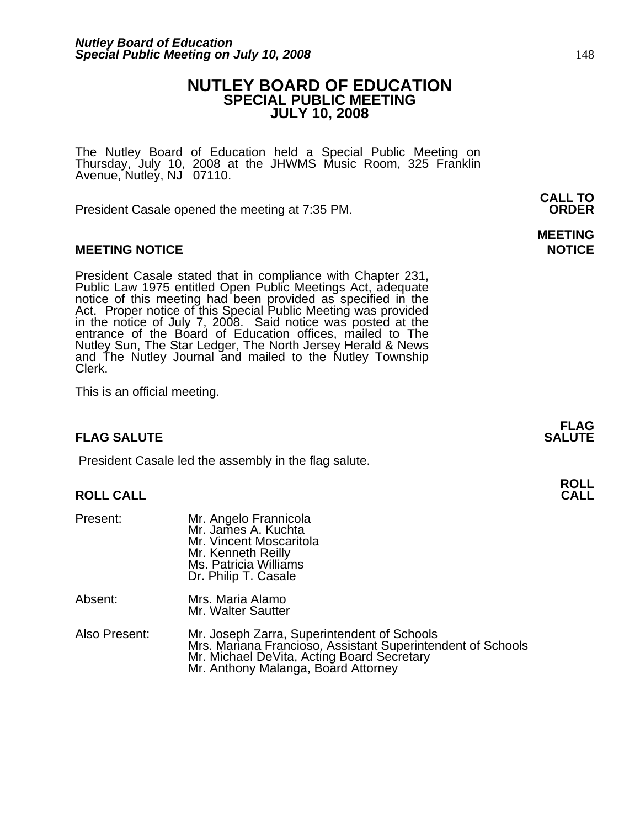### **NUTLEY BOARD OF EDUCATION SPECIAL PUBLIC MEETING JULY 10, 2008**

The Nutley Board of Education held a Special Public Meeting on<br>Thursday, July 10, 2008 at the JHWMS Music Room, 325 Franklin Avenue, Nutley, NJ 07110.

 **CALL TO**  President Casale opened the meeting at 7:35 PM. **ORDER**

### **MEETING NOTICE NOTICE AND RESERVE ASSESS**

President Casale stated that in compliance with Chapter 231,<br>Public Law 1975 entitled Open Public Meetings Act, adequate<br>notice of this meeting had been provided as specified in the<br>Act. Proper notice of this Special Publi Nutley Sun, The Star Ledger, The North Jersey Herald & News and The Nutley Journal and mailed to the Nutley Township Clerk.

This is an official meeting.

### **FLAG SALUTE** SALUTE SALUTE SALUTE SALUTE SALUTE

President Casale led the assembly in the flag salute.

## **ROLL ROLL CALL CALL**

| Present:      | Mr. Angelo Frannicola<br>Mr. James A. Kuchta<br>Mr. Vincent Moscaritola<br>Mr. Kenneth Reilly<br>Ms. Patricia Williams<br>Dr. Philip T. Casale                                                  |
|---------------|-------------------------------------------------------------------------------------------------------------------------------------------------------------------------------------------------|
| Absent:       | Mrs. Maria Alamo<br>Mr. Walter Sautter                                                                                                                                                          |
| Also Present: | Mr. Joseph Zarra, Superintendent of Schools<br>Mrs. Mariana Francioso, Assistant Superintendent of Schools<br>Mr. Michael DeVita, Acting Board Secretary<br>Mr. Anthony Malanga, Board Attorney |

# **MEETING**

**FLAG**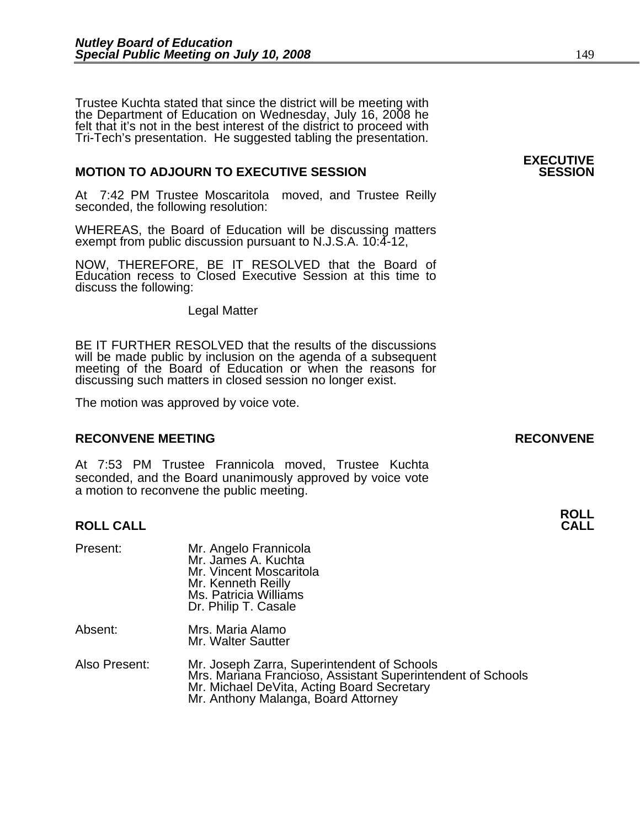Trustee Kuchta stated that since the district will be meeting with the Department of Education on Wednesday, July 16, 2008 he felt that it's not in the best interest of the district to proceed with Tri-Tech's presentation. He suggested tabling the presentation.

### **MOTION TO ADJOURN TO EXECUTIVE SESSION**

At 7:42 PM Trustee Moscaritola moved, and Trustee Reilly seconded, the following resolution:

WHEREAS, the Board of Education will be discussing matters exempt from public discussion pursuant to N.J.S.A. 10:4-12,

NOW, THEREFORE, BE IT RESOLVED that the Board of Education recess to Closed Executive Session at this time to discuss the following:

Legal Matter

BE IT FURTHER RESOLVED that the results of the discussions will be made public by inclusion on the agenda of a subsequent meeting of the Board of Education or when the reasons for discussing such matters in closed session no longer exist.

The motion was approved by voice vote.

### **RECONVENE MEETING RECONVENE**

At 7:53 PM Trustee Frannicola moved, Trustee Kuchta seconded, and the Board unanimously approved by voice vote a motion to reconvene the public meeting.

## **ROLL ROLL CALL CALL**

| Present:      | Mr. Angelo Frannicola<br>Mr. James A. Kuchta<br>Mr. Vincent Moscaritola<br>Mr. Kenneth Reilly<br>Ms. Patricia Williams<br>Dr. Philip T. Casale           |
|---------------|----------------------------------------------------------------------------------------------------------------------------------------------------------|
| Absent:       | Mrs. Maria Alamo<br>Mr. Walter Sautter                                                                                                                   |
| Also Present: | Mr. Joseph Zarra, Superintendent of Schools<br>Mrs. Mariana Francioso, Assistant Superintendent of Schools<br>Mr. Michael DeVita, Acting Board Secretary |

Mr. Anthony Malanga, Board Attorney

## **EXECUTIVE**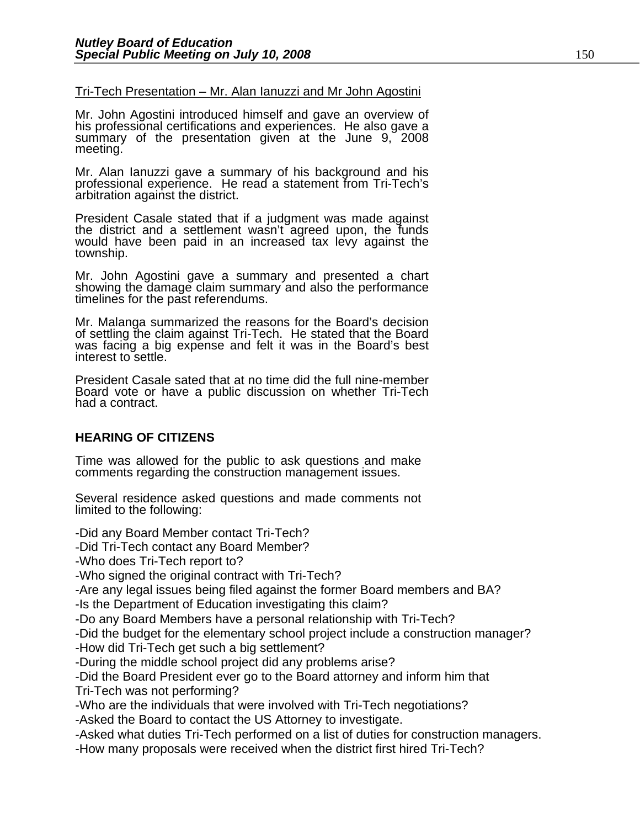### Tri-Tech Presentation – Mr. Alan Ianuzzi and Mr John Agostini

Mr. John Agostini introduced himself and gave an overview of his professional certifications and experiences. He also gave a<br>summary of the presentation given at the June 9, 2008<br>meeting.

Mr. Alan Ianuzzi gave a summary of his background and his professional experience. He read a statement from Tri-Tech's arbitration against the district.

President Casale stated that if a judgment was made against the district and a settlement wasn't agreed upon, the funds would have been paid in an increased tax levy against the township.

Mr. John Agostini gave a summary and presented a chart showing the damage claim summary and also the performance timelines for the past referendums.

Mr. Malanga summarized the reasons for the Board's decision of settling the claim against Tri-Tech. He stated that the Board was facing a big expense and felt it was in the Board's best interest to settle.

President Casale sated that at no time did the full nine-member Board vote or have a public discussion on whether Tri-Tech had a contract.

### **HEARING OF CITIZENS**

Time was allowed for the public to ask questions and make comments regarding the construction management issues.

Several residence asked questions and made comments not limited to the following:

-Did any Board Member contact Tri-Tech?

-Did Tri-Tech contact any Board Member?

-Who does Tri-Tech report to?

-Who signed the original contract with Tri-Tech?

-Are any legal issues being filed against the former Board members and BA?

-Is the Department of Education investigating this claim?

-Do any Board Members have a personal relationship with Tri-Tech?

-Did the budget for the elementary school project include a construction manager?

-How did Tri-Tech get such a big settlement?

-During the middle school project did any problems arise?

-Did the Board President ever go to the Board attorney and inform him that Tri-Tech was not performing?

-Who are the individuals that were involved with Tri-Tech negotiations?

-Asked the Board to contact the US Attorney to investigate.

-Asked what duties Tri-Tech performed on a list of duties for construction managers.

-How many proposals were received when the district first hired Tri-Tech?